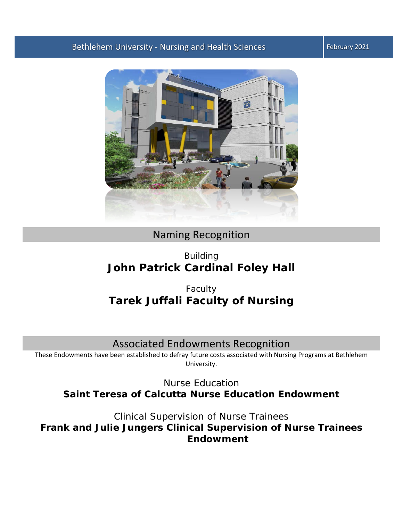



# Naming Recognition

# Building **John Patrick Cardinal Foley Hall**

# Faculty **Tarek Juffali Faculty of Nursing**

# Associated Endowments Recognition

These Endowments have been established to defray future costs associated with Nursing Programs at Bethlehem University.

Nurse Education **Saint Teresa of Calcutta Nurse Education Endowment**

Clinical Supervision of Nurse Trainees **Frank and Julie Jungers Clinical Supervision of Nurse Trainees Endowment**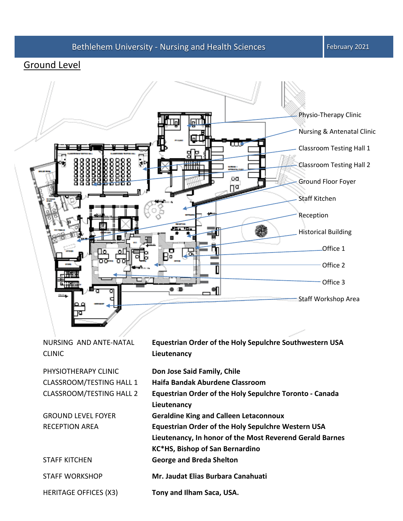### Ground Level



NURSING AND ANTE-NATAL CLINIC **Equestrian Order of the Holy Sepulchre Southwestern USA Lieutenancy** PHYSIOTHERAPY CLINIC **Don Jose Said Family, Chile** CLASSROOM/TESTING HALL 1 **Haifa Bandak Aburdene Classroom** CLASSROOM/TESTING HALL 2 **Equestrian Order of the Holy Sepulchre Toronto - Canada Lieutenancy** GROUND LEVEL FOYER **Geraldine King and Calleen Letaconnoux** RECEPTION AREA **Equestrian Order of the Holy Sepulchre Western USA Lieutenancy, In honor of the Most Reverend Gerald Barnes KC\*HS, Bishop of San Bernardino** STAFF KITCHEN **George and Breda Shelton** STAFF WORKSHOP **Mr. Jaudat Elias Burbara Canahuati** HERITAGE OFFICES (X3) **Tony and Ilham Saca, USA.**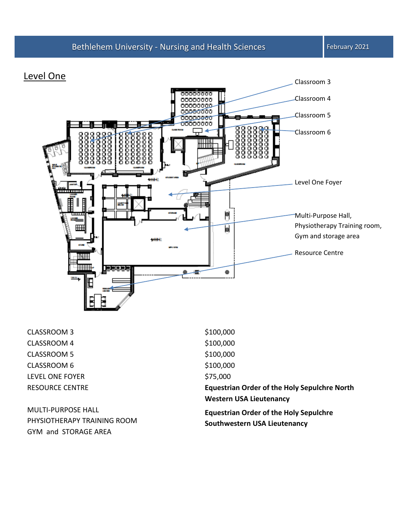### Level One



CLASSROOM 3 \$100,000 CLASSROOM 4 \$100,000 CLASSROOM 5 \$100,000 CLASSROOM 6 \$100,000 LEVEL ONE FOYER \$75,000

MULTI-PURPOSE HALL PHYSIOTHERAPY TRAINING ROOM GYM and STORAGE AREA

RESOURCE CENTRE **Equestrian Order of the Holy Sepulchre North Western USA Lieutenancy Equestrian Order of the Holy Sepulchre Southwestern USA Lieutenancy**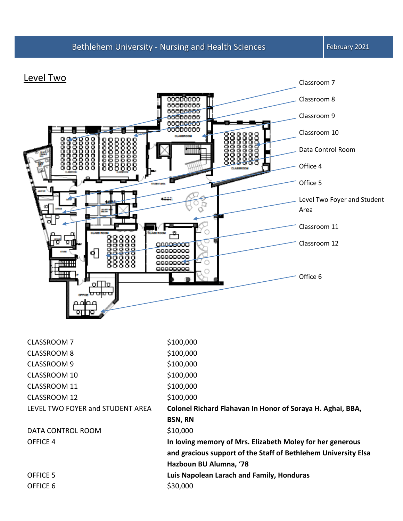### Level Two



| CLASSROOM 7                      | \$100,000                                                      |
|----------------------------------|----------------------------------------------------------------|
| <b>CLASSROOM 8</b>               | \$100,000                                                      |
| <b>CLASSROOM 9</b>               | \$100,000                                                      |
| CLASSROOM 10                     | \$100,000                                                      |
| CLASSROOM 11                     | \$100,000                                                      |
| CLASSROOM 12                     | \$100,000                                                      |
| LEVEL TWO FOYER and STUDENT AREA | Colonel Richard Flahavan In Honor of Soraya H. Aghai, BBA,     |
|                                  | <b>BSN, RN</b>                                                 |
| DATA CONTROL ROOM                | \$10,000                                                       |
| OFFICE 4                         | In loving memory of Mrs. Elizabeth Moley for her generous      |
|                                  | and gracious support of the Staff of Bethlehem University Elsa |
|                                  | Hazboun BU Alumna, '78                                         |
| OFFICE 5                         | Luis Napolean Larach and Family, Honduras                      |
| OFFICE 6                         | \$30,000                                                       |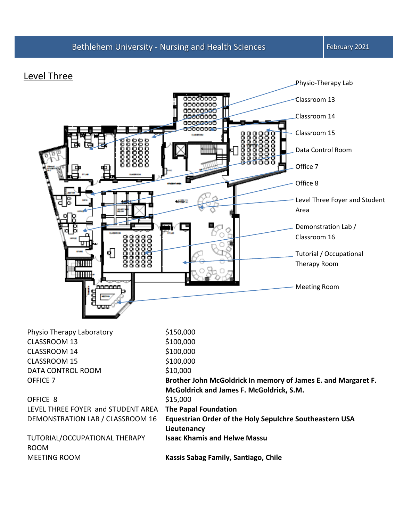### Level Three



| Physio Therapy Laboratory          | \$150,000                                                     |
|------------------------------------|---------------------------------------------------------------|
| CLASSROOM 13                       | \$100,000                                                     |
| CLASSROOM 14                       | \$100,000                                                     |
| CLASSROOM 15                       | \$100,000                                                     |
| DATA CONTROL ROOM                  | \$10,000                                                      |
| OFFICE 7                           | Brother John McGoldrick In memory of James E. and Margaret F. |
|                                    | McGoldrick and James F. McGoldrick, S.M.                      |
| OFFICE 8                           | \$15,000                                                      |
| LEVEL THREE FOYER and STUDENT AREA | <b>The Papal Foundation</b>                                   |
| DEMONSTRATION LAB / CLASSROOM 16   | Equestrian Order of the Holy Sepulchre Southeastern USA       |
|                                    | Lieutenancy                                                   |
| TUTORIAL/OCCUPATIONAL THERAPY      | <b>Isaac Khamis and Helwe Massu</b>                           |
| <b>ROOM</b>                        |                                                               |
| <b>MEETING ROOM</b>                | Kassis Sabag Family, Santiago, Chile                          |
|                                    |                                                               |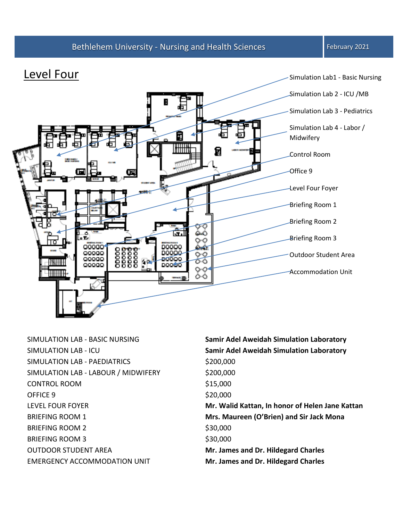

SIMULATION LAB - PAEDIATRICS \$200,000 SIMULATION LAB - LABOUR / MIDWIFERY \$200,000 CONTROL ROOM \$15,000 OFFICE 9 \$20,000 BRIEFING ROOM 2 \$30,000 BRIEFING ROOM 3 \$30,000 OUTDOOR STUDENT AREA **Mr. James and Dr. Hildegard Charles**

SIMULATION LAB - BASIC NURSING **Samir Adel Aweidah Simulation Laboratory** SIMULATION LAB - ICU **Samir Adel Aweidah Simulation Laboratory** LEVEL FOUR FOYER **Mr. Walid Kattan, In honor of Helen Jane Kattan** BRIEFING ROOM 1 **Mrs. Maureen (O'Brien) and Sir Jack Mona** EMERGENCY ACCOMMODATION UNIT **Mr. James and Dr. Hildegard Charles**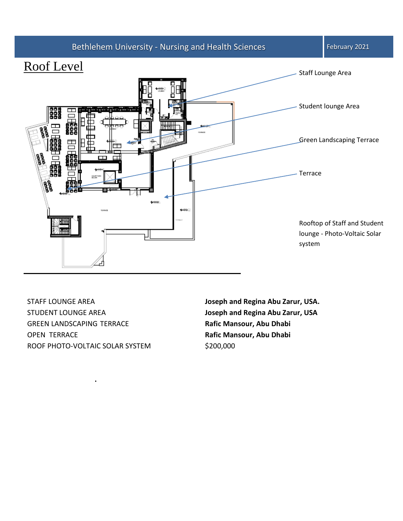

STAFF LOUNGE AREA **Joseph and Regina Abu Zarur, USA.** STUDENT LOUNGE AREA **Joseph and Regina Abu Zarur, USA** GREEN LANDSCAPING TERRACE **Rafic Mansour, Abu Dhabi** OPEN TERRACE **Rafic Mansour, Abu Dhabi** ROOF PHOTO-VOLTAIC SOLAR SYSTEM \$200,000

**.**